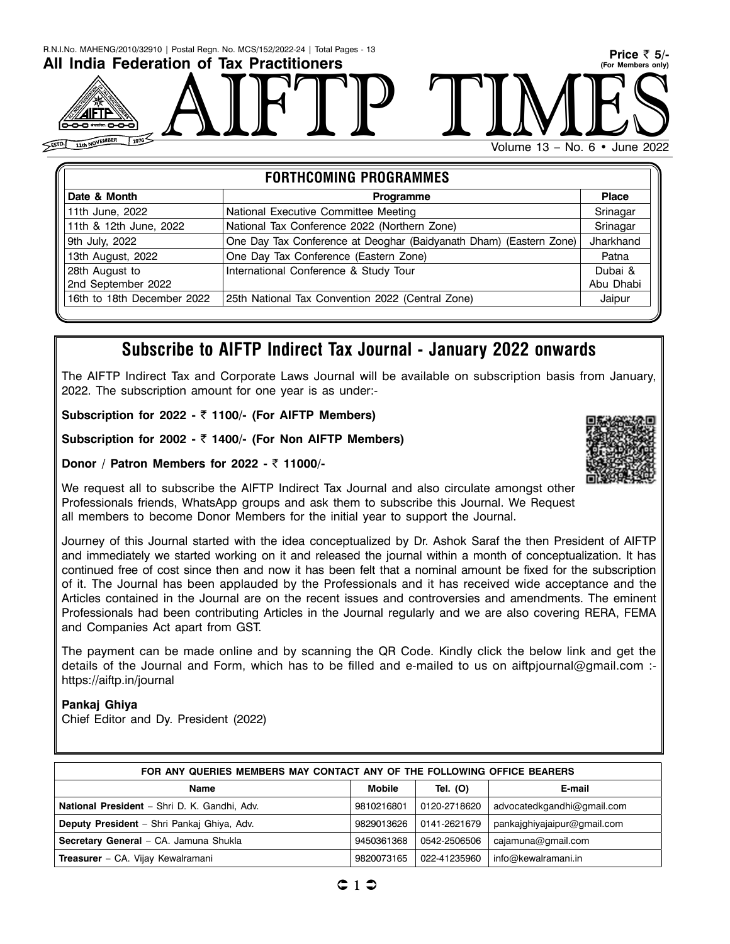| R.N.I.No. MAHENG/2010/32910   Postal Regn. No. MCS/152/2022-24   Total Pages - 13<br>All India Federation of Tax Practitioners<br>8-8-8 ****** 8-8-6<br>1976'<br>SESTD 11th NOVEMBER | Price $\bar{z}$ 5/-<br>(For Members only)<br>Volume 13 - No. 6 • June 2022 |
|--------------------------------------------------------------------------------------------------------------------------------------------------------------------------------------|----------------------------------------------------------------------------|
| <b>FODTUCOMING DROODAMMEC</b>                                                                                                                                                        |                                                                            |

| <b>FORTHCOMING PROGRAMMES</b>                                      |              |  |  |  |
|--------------------------------------------------------------------|--------------|--|--|--|
| <b>Programme</b>                                                   | <b>Place</b> |  |  |  |
| National Executive Committee Meeting                               | Srinagar     |  |  |  |
| National Tax Conference 2022 (Northern Zone)                       | Srinagar     |  |  |  |
| One Day Tax Conference at Deoghar (Baidyanath Dham) (Eastern Zone) | Jharkhand    |  |  |  |
| One Day Tax Conference (Eastern Zone)                              | Patna        |  |  |  |
| International Conference & Study Tour                              | Dubai &      |  |  |  |
|                                                                    | Abu Dhabi    |  |  |  |
| 25th National Tax Convention 2022 (Central Zone)                   | Jaipur       |  |  |  |
|                                                                    |              |  |  |  |

### **Subscribe to AIFTP Indirect Tax Journal - January 2022 onwards**

The AIFTP Indirect Tax and Corporate Laws Journal will be available on subscription basis from January, 2022. The subscription amount for one year is as under:-

**Subscription for 2022 -** ` **1100/- (For AIFTP Members)**

**Subscription for 2002 -** ` **1400/- (For Non AIFTP Members)**

**Donor / Patron Members for 2022 -** ` **11000/-**

We request all to subscribe the AIFTP Indirect Tax Journal and also circulate amongst other Professionals friends, WhatsApp groups and ask them to subscribe this Journal. We Request all members to become Donor Members for the initial year to support the Journal.

Journey of this Journal started with the idea conceptualized by Dr. Ashok Saraf the then President of AIFTP and immediately we started working on it and released the journal within a month of conceptualization. It has continued free of cost since then and now it has been felt that a nominal amount be fixed for the subscription of it. The Journal has been applauded by the Professionals and it has received wide acceptance and the Articles contained in the Journal are on the recent issues and controversies and amendments. The eminent Professionals had been contributing Articles in the Journal regularly and we are also covering RERA, FEMA and Companies Act apart from GST.

The payment can be made online and by scanning the QR Code. Kindly click the below link and get the details of the Journal and Form, which has to be filled and e-mailed to us on aiftpjournal@gmail.com : https://aiftp.in/journal

#### **Pankaj Ghiya**

Chief Editor and Dy. President (2022)

| FOR ANY QUERIES MEMBERS MAY CONTACT ANY OF THE FOLLOWING OFFICE BEARERS |            |              |                             |  |  |  |
|-------------------------------------------------------------------------|------------|--------------|-----------------------------|--|--|--|
| Mobile<br>Tel. (O)<br>E-mail<br>Name                                    |            |              |                             |  |  |  |
| National President - Shri D. K. Gandhi, Adv.                            | 9810216801 | 0120-2718620 | advocatedkgandhi@gmail.com  |  |  |  |
| Deputy President - Shri Pankaj Ghiya, Adv.                              | 9829013626 | 0141-2621679 | pankajghiyajaipur@gmail.com |  |  |  |
| Secretary General - CA. Jamuna Shukla                                   | 9450361368 | 0542-2506506 | cajamuna@gmail.com          |  |  |  |
| <b>Treasurer</b> - CA. Vijay Kewalramani                                | 9820073165 | 022-41235960 | info@kewalramani.in         |  |  |  |

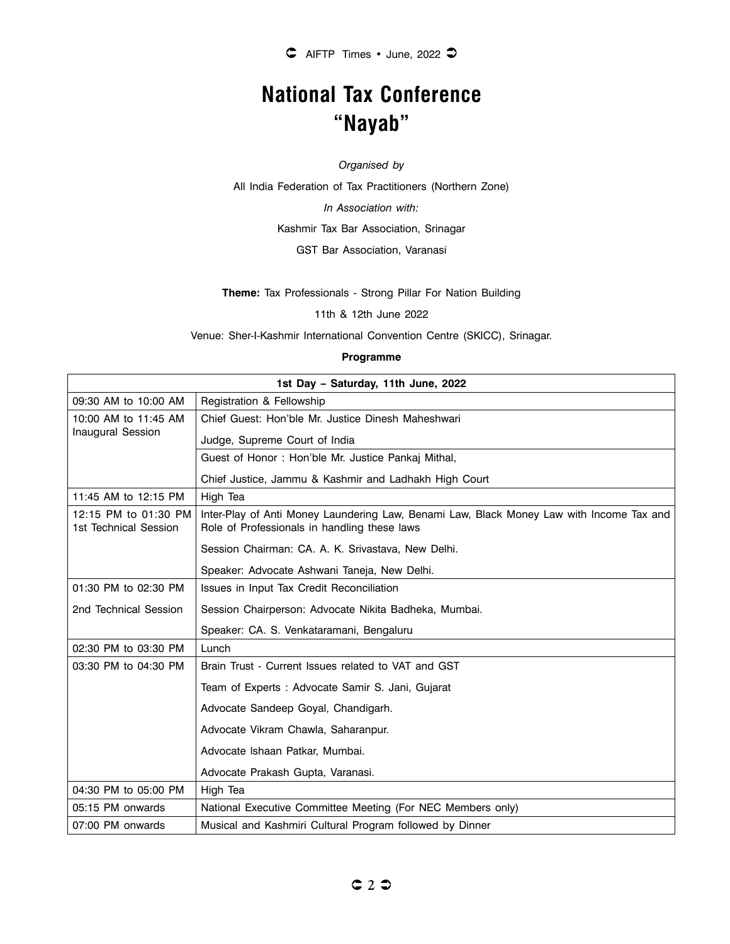# **National Tax Conference "Nayab"**

*Organised by*

All India Federation of Tax Practitioners (Northern Zone)

*In Association with:*

Kashmir Tax Bar Association, Srinagar

GST Bar Association, Varanasi

**Theme:** Tax Professionals - Strong Pillar For Nation Building

11th & 12th June 2022

Venue: Sher-I-Kashmir International Convention Centre (SKICC), Srinagar.

#### **Programme**

|                                               | 1st Day - Saturday, 11th June, 2022                                                                                                      |
|-----------------------------------------------|------------------------------------------------------------------------------------------------------------------------------------------|
| 09:30 AM to 10:00 AM                          | Registration & Fellowship                                                                                                                |
| 10:00 AM to 11:45 AM                          | Chief Guest: Hon'ble Mr. Justice Dinesh Maheshwari                                                                                       |
| <b>Inaugural Session</b>                      | Judge, Supreme Court of India                                                                                                            |
|                                               | Guest of Honor: Hon'ble Mr. Justice Pankaj Mithal,                                                                                       |
|                                               | Chief Justice, Jammu & Kashmir and Ladhakh High Court                                                                                    |
| 11:45 AM to 12:15 PM                          | High Tea                                                                                                                                 |
| 12:15 PM to 01:30 PM<br>1st Technical Session | Inter-Play of Anti Money Laundering Law, Benami Law, Black Money Law with Income Tax and<br>Role of Professionals in handling these laws |
|                                               | Session Chairman: CA. A. K. Srivastava, New Delhi.                                                                                       |
|                                               | Speaker: Advocate Ashwani Taneja, New Delhi.                                                                                             |
| 01:30 PM to 02:30 PM                          | Issues in Input Tax Credit Reconciliation                                                                                                |
| 2nd Technical Session                         | Session Chairperson: Advocate Nikita Badheka, Mumbai.                                                                                    |
|                                               | Speaker: CA. S. Venkataramani, Bengaluru                                                                                                 |
| 02:30 PM to 03:30 PM                          | Lunch                                                                                                                                    |
| 03:30 PM to 04:30 PM                          | Brain Trust - Current Issues related to VAT and GST                                                                                      |
|                                               | Team of Experts: Advocate Samir S. Jani, Gujarat                                                                                         |
|                                               | Advocate Sandeep Goyal, Chandigarh.                                                                                                      |
|                                               | Advocate Vikram Chawla, Saharanpur.                                                                                                      |
|                                               | Advocate Ishaan Patkar, Mumbai.                                                                                                          |
|                                               | Advocate Prakash Gupta, Varanasi.                                                                                                        |
| 04:30 PM to 05:00 PM                          | High Tea                                                                                                                                 |
| 05:15 PM onwards                              | National Executive Committee Meeting (For NEC Members only)                                                                              |
| 07:00 PM onwards                              | Musical and Kashmiri Cultural Program followed by Dinner                                                                                 |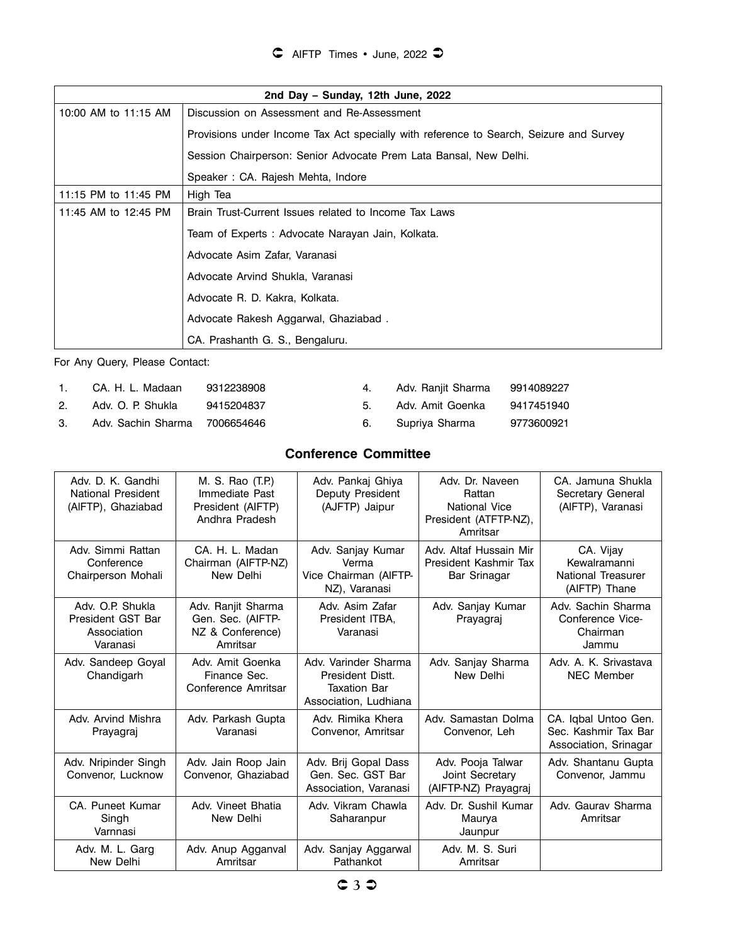| 2nd Day - Sunday, 12th June, 2022 |                                                                                        |  |  |  |
|-----------------------------------|----------------------------------------------------------------------------------------|--|--|--|
| 10:00 AM to 11:15 AM              | Discussion on Assessment and Re-Assessment                                             |  |  |  |
|                                   | Provisions under Income Tax Act specially with reference to Search, Seizure and Survey |  |  |  |
|                                   | Session Chairperson: Senior Advocate Prem Lata Bansal, New Delhi.                      |  |  |  |
|                                   | Speaker: CA. Rajesh Mehta, Indore                                                      |  |  |  |
| 11:15 PM to 11:45 PM              | High Tea                                                                               |  |  |  |
| 11:45 AM to 12:45 PM              | Brain Trust-Current Issues related to Income Tax Laws                                  |  |  |  |
|                                   | Team of Experts : Advocate Narayan Jain, Kolkata.                                      |  |  |  |
|                                   | Advocate Asim Zafar, Varanasi                                                          |  |  |  |
|                                   | Advocate Arvind Shukla, Varanasi                                                       |  |  |  |
|                                   | Advocate R. D. Kakra, Kolkata.                                                         |  |  |  |
|                                   | Advocate Rakesh Aggarwal, Ghaziabad.                                                   |  |  |  |
|                                   | CA. Prashanth G. S., Bengaluru.                                                        |  |  |  |

For Any Query, Please Contact:

| $\mathbf{1}$ . | CA. H. L. Madaan              | 9312238908 | 4. | Adv. Ranjit Sharma | 9914089227 |
|----------------|-------------------------------|------------|----|--------------------|------------|
| 2.             | Adv. O. P. Shukla             | 9415204837 | 5. | Adv. Amit Goenka   | 9417451940 |
| $3_{-}$        | Adv. Sachin Sharma 7006654646 |            |    | 6. Supriya Sharma  | 9773600921 |

### **Conference Committee**

| Adv. D. K. Gandhi<br>National President<br>(AIFTP), Ghaziabad    | M. S. Rao (T.P.)<br>Immediate Past<br>President (AIFTP)<br>Andhra Pradesh | Adv. Pankaj Ghiya<br>Deputy President<br>(AJFTP) Jaipur                                  | Adv. Dr. Naveen<br>Rattan<br>National Vice<br>President (ATFTP-NZ),<br>Amritsar | CA. Jamuna Shukla<br>Secretary General<br>(AIFTP), Varanasi           |
|------------------------------------------------------------------|---------------------------------------------------------------------------|------------------------------------------------------------------------------------------|---------------------------------------------------------------------------------|-----------------------------------------------------------------------|
| Adv. Simmi Rattan<br>Conference<br>Chairperson Mohali            | CA. H. L. Madan<br>Chairman (AIFTP-NZ)<br>New Delhi                       | Adv. Sanjay Kumar<br>Verma<br>Vice Chairman (AIFTP-<br>NZ), Varanasi                     | Adv. Altaf Hussain Mir<br>President Kashmir Tax<br>Bar Srinagar                 | CA. Vijay<br>Kewalramanni<br>National Treasurer<br>(AIFTP) Thane      |
| Adv. O.P. Shukla<br>President GST Bar<br>Association<br>Varanasi | Adv. Ranjit Sharma<br>Gen. Sec. (AIFTP-<br>NZ & Conference)<br>Amritsar   | Adv. Asim Zafar<br>President ITBA.<br>Varanasi                                           | Adv. Sanjay Kumar<br>Prayagraj                                                  | Adv. Sachin Sharma<br>Conference Vice-<br>Chairman<br>Jammu           |
| Adv. Sandeep Goyal<br>Chandigarh                                 | Adv. Amit Goenka<br>Finance Sec.<br>Conference Amritsar                   | Adv. Varinder Sharma<br>President Distt.<br><b>Taxation Bar</b><br>Association, Ludhiana | Adv. Sanjay Sharma<br>New Delhi                                                 | Adv. A. K. Srivastava<br><b>NEC Member</b>                            |
| Adv. Arvind Mishra<br>Prayagraj                                  | Adv. Parkash Gupta<br>Varanasi                                            | Adv. Rimika Khera<br>Convenor, Amritsar                                                  | Adv. Samastan Dolma<br>Convenor, Leh                                            | CA. Igbal Untoo Gen.<br>Sec. Kashmir Tax Bar<br>Association, Srinagar |
| Adv. Nripinder Singh<br>Convenor, Lucknow                        | Adv. Jain Roop Jain<br>Convenor, Ghaziabad                                | Adv. Brij Gopal Dass<br>Gen. Sec. GST Bar<br>Association, Varanasi                       | Adv. Pooja Talwar<br>Joint Secretary<br>(AIFTP-NZ) Prayagraj                    | Adv. Shantanu Gupta<br>Convenor, Jammu                                |
| CA. Puneet Kumar<br>Singh<br>Varnnasi                            | Adv. Vineet Bhatia<br>New Delhi                                           | Adv. Vikram Chawla<br>Saharanpur                                                         | Adv. Dr. Sushil Kumar<br>Maurya<br>Jaunpur                                      | Adv. Gauray Sharma<br>Amritsar                                        |
| Adv. M. L. Garg<br>New Delhi                                     | Adv. Anup Agganval<br>Amritsar                                            | Adv. Sanjay Aggarwal<br>Pathankot                                                        | Adv. M. S. Suri<br>Amritsar                                                     |                                                                       |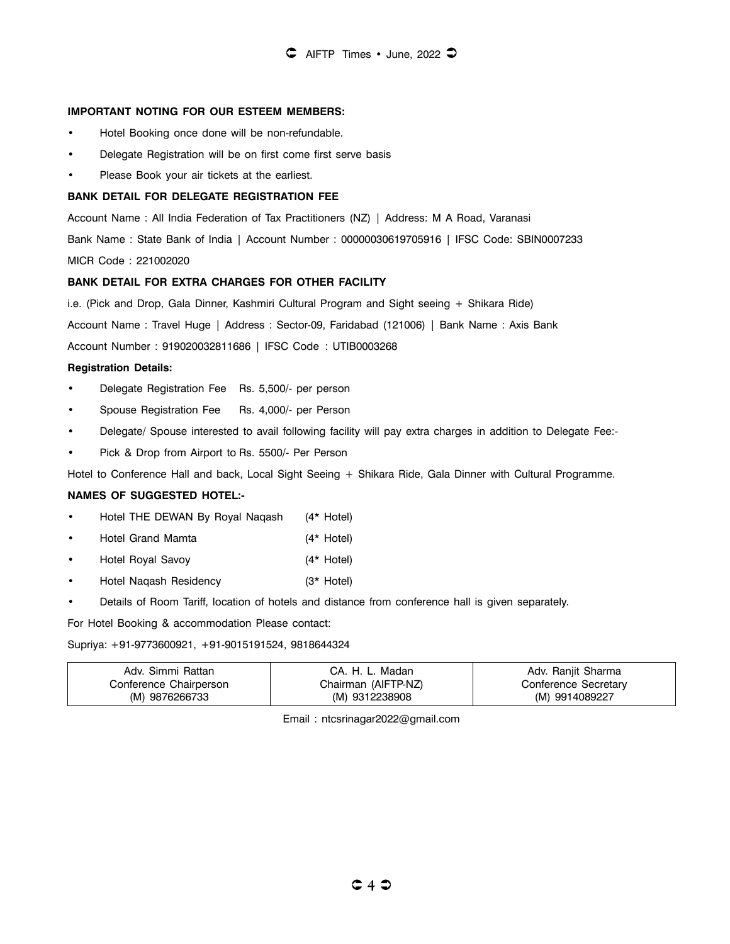#### **IMPORTANT NOTING FOR OUR ESTEEM MEMBERS:**

- Hotel Booking once done will be non-refundable.
- Delegate Registration will be on first come first serve basis
- Please Book your air tickets at the earliest.

#### **BANK DETAIL FOR DELEGATE REGISTRATION FEE**

Account Name : All India Federation of Tax Practitioners (NZ) | Address: M A Road, Varanasi

Bank Name : State Bank of India | Account Number : 00000030619705916 | IFSC Code: SBIN0007233

MICR Code : 221002020

#### **BANK DETAIL FOR EXTRA CHARGES FOR OTHER FACILITY**

i.e. (Pick and Drop, Gala Dinner, Kashmiri Cultural Program and Sight seeing + Shikara Ride)

Account Name : Travel Huge | Address : Sector-09, Faridabad (121006) | Bank Name : Axis Bank

Account Number : 919020032811686 | IFSC Code : UTIB0003268

#### **Registration Details:**

- Delegate Registration Fee Rs. 5,500/- per person
- Spouse Registration Fee Rs. 4,000/- per Person
- Delegate/ Spouse interested to avail following facility will pay extra charges in addition to Delegate Fee:-
- Pick & Drop from Airport to Rs. 5500/- Per Person

Hotel to Conference Hall and back, Local Sight Seeing + Shikara Ride, Gala Dinner with Cultural Programme.

#### **NAMES OF SUGGESTED HOTEL:-**

- Hotel THE DEWAN By Royal Naqash (4\* Hotel)
- Hotel Grand Mamta (4\* Hotel)
- Hotel Royal Savoy (4\* Hotel)
- Hotel Naqash Residency (3\* Hotel)
- Details of Room Tariff, location of hotels and distance from conference hall is given separately.

For Hotel Booking & accommodation Please contact:

Supriya: +91-9773600921, +91-9015191524, 9818644324

| Adv. Simmi Rattan      | . Madan<br>CA. H. L. | Adv. Ranjit Sharma   |
|------------------------|----------------------|----------------------|
| Conference Chairperson | Chairman (AIFTP-NZ)  | Conference Secretary |
| (M) 9876266733         | (M) 9312238908       | (M) 9914089227       |

Email : ntcsrinagar2022@gmail.com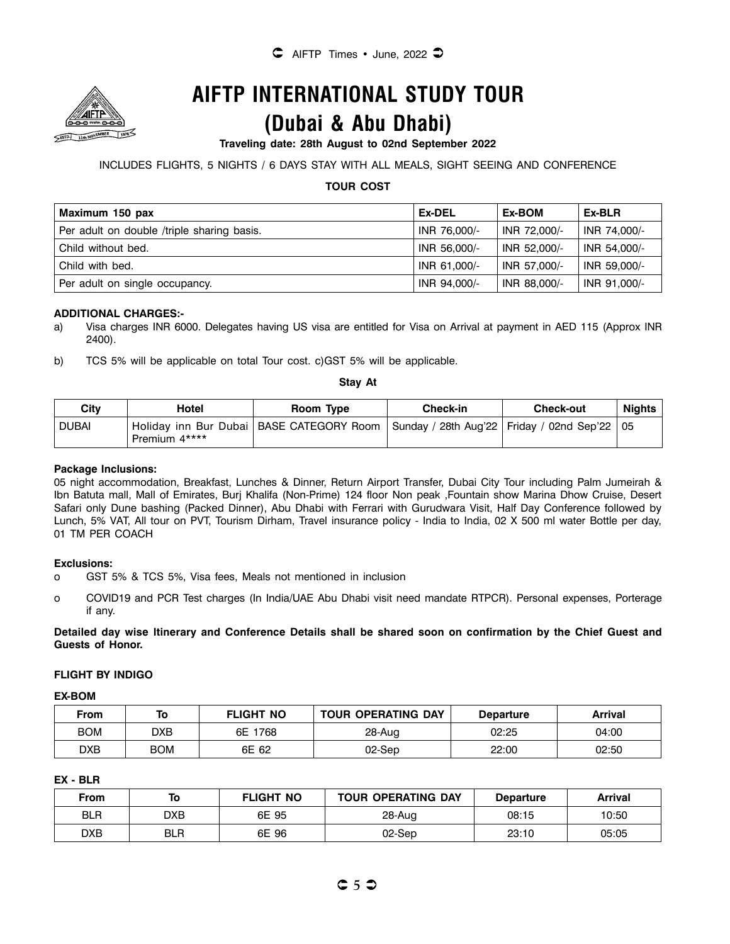

# **AIFTP INTERNATIONAL STUDY TOUR**

# **(Dubai & Abu Dhabi)**

#### **Traveling date: 28th August to 02nd September 2022**

#### INCLUDES FLIGHTS, 5 NIGHTS / 6 DAYS STAY WITH ALL MEALS, SIGHT SEEING AND CONFERENCE

#### **TOUR COST**

| Maximum 150 pax                            | Ex-DEL       | Ex-BOM       | Ex-BLR       |
|--------------------------------------------|--------------|--------------|--------------|
| Per adult on double /triple sharing basis. | INR 76,000/- | INR 72,000/- | INR 74,000/- |
| Child without bed.                         | INR 56,000/- | INR 52.000/- | INR 54,000/- |
| Child with bed.                            | INR 61.000/- | INR 57,000/- | INR 59,000/- |
| Per adult on single occupancy.             | INR 94,000/- | INR 88,000/- | INR 91,000/- |

#### **ADDITIONAL CHARGES:-**

- a) Visa charges INR 6000. Delegates having US visa are entitled for Visa on Arrival at payment in AED 115 (Approx INR 2400).
- b) TCS 5% will be applicable on total Tour cost. c)GST 5% will be applicable.

#### **Stay At**

| Citv  | Hotel         | Room Type                                                                                     | <b>Check-in</b> | <b>Check-out</b> | Nights |
|-------|---------------|-----------------------------------------------------------------------------------------------|-----------------|------------------|--------|
| DUBAI | Premium 4**** | Holiday inn Bur Dubai   BASE CATEGORY Room   Sunday / 28th Aug'22   Friday / 02nd Sep'22   05 |                 |                  |        |

#### **Package Inclusions:**

05 night accommodation, Breakfast, Lunches & Dinner, Return Airport Transfer, Dubai City Tour including Palm Jumeirah & Ibn Batuta mall, Mall of Emirates, Burj Khalifa (Non-Prime) 124 floor Non peak ,Fountain show Marina Dhow Cruise, Desert Safari only Dune bashing (Packed Dinner), Abu Dhabi with Ferrari with Gurudwara Visit, Half Day Conference followed by Lunch, 5% VAT, All tour on PVT, Tourism Dirham, Travel insurance policy - India to India, 02 X 500 ml water Bottle per day, 01 TM PER COACH

#### **Exclusions:**

- o GST 5% & TCS 5%, Visa fees, Meals not mentioned in inclusion
- o COVID19 and PCR Test charges (In India/UAE Abu Dhabi visit need mandate RTPCR). Personal expenses, Porterage if any.

**Detailed day wise Itinerary and Conference Details shall be shared soon on confirmation by the Chief Guest and Guests of Honor.** 

#### **FLIGHT BY INDIGO**

#### **EX-BOM**

| From |            | <b>FLIGHT NO</b> | <b>TOUR OPERATING DAY</b> | <b>Departure</b> | Arrival |
|------|------------|------------------|---------------------------|------------------|---------|
| BOM  | DXB        | 6E<br>1768       | 28-Aug                    | 02:25            | 04:00   |
| DXB  | <b>BOM</b> | 6E 62            | 02-Sep                    | 22:00            | 02:50   |

#### **EX - BLR**

| From       | To  | <b>FLIGHT NO</b> | <b>TOUR OPERATING DAY</b> | <b>Departure</b> | <b>Arrival</b> |
|------------|-----|------------------|---------------------------|------------------|----------------|
| <b>BLR</b> | DXB | 6E 95            | 28-Aug                    | 08:15            | 10:50          |
| DXB        | BLR | 6E 96            | $02-Sep$                  | 23:10            | 05:05          |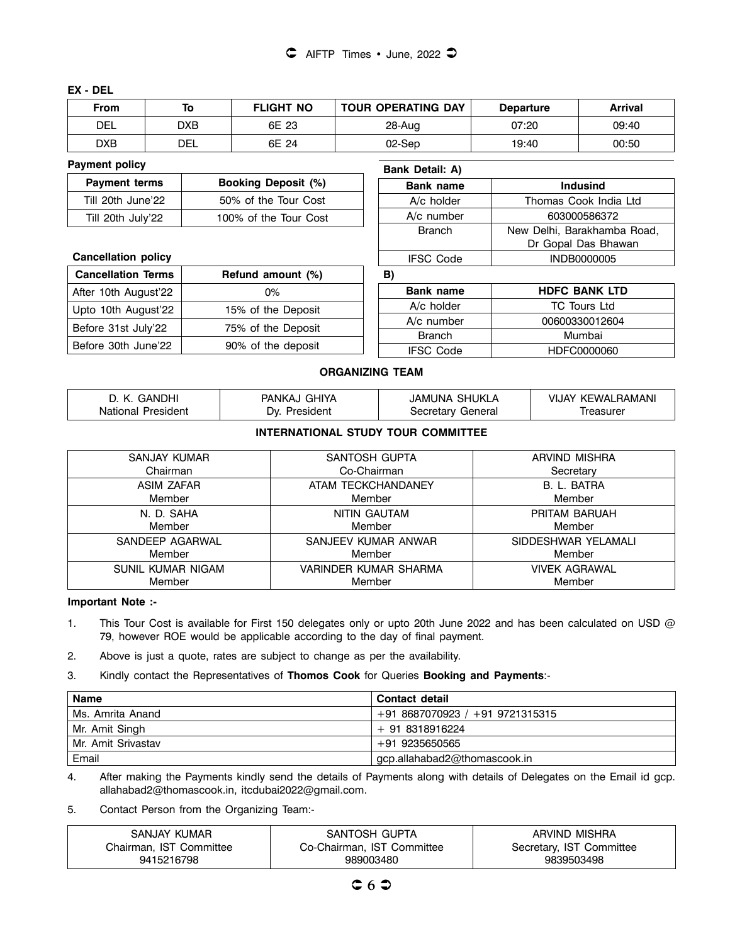#### **EX - DEL**

| From | To  | <b>FLIGHT NO</b> | <b>TOUR OPERATING DAY</b> | <b>Departure</b> | Arrival |
|------|-----|------------------|---------------------------|------------------|---------|
| DEL  | DXB | 6E 23            | 28-Aug                    | 07:20            | 09:40   |
| DXB  | DEL | 6E 24            | 02-Sep                    | 19:40            | 00:50   |

#### **Payment policy**

| <b>Payment terms</b> | <b>Booking Deposit (%)</b> |
|----------------------|----------------------------|
| Till 20th June'22    | 50% of the Tour Cost       |
| Till 20th July'22    | 100% of the Tour Cost      |

#### **Cancellation policy**

| <b>Cancellation Terms</b> | Refund amount (%)  |
|---------------------------|--------------------|
| After 10th August'22      | $0\%$              |
| Upto 10th August'22       | 15% of the Deposit |
| Before 31st July'22       | 75% of the Deposit |
| Before 30th June'22       | 90% of the deposit |

| <b>Bank Detail: A)</b> |                                                    |
|------------------------|----------------------------------------------------|
| <b>Bank name</b>       | <b>Indusind</b>                                    |
| A/c holder             | Thomas Cook India Ltd                              |
| A/c number             | 603000586372                                       |
| <b>Branch</b>          | New Delhi, Barakhamba Road,<br>Dr Gopal Das Bhawan |
| <b>IFSC Code</b>       | <b>INDB0000005</b>                                 |

### **B)**

| <b>Bank name</b> | <b>HDFC BANK LTD</b> |
|------------------|----------------------|
| A/c holder       | <b>TC Tours Ltd</b>  |
| A/c number       | 00600330012604       |
| <b>Branch</b>    | Mumbai               |
| <b>IFSC Code</b> | HDFC0000060          |

#### **ORGANIZING TEAM**

| <b>GANDHI</b> | ` GHIYA       | JAMUNA SHUKLA | ' KEWALRAMANI |
|---------------|---------------|---------------|---------------|
| - K.          | <b>PANKAJ</b> |               | VIJAY         |
| National      | President     | Secretary     | reasurer      |
| President     | λv            | General       |               |

### **INTERNATIONAL STUDY TOUR COMMITTEE**

| SANJAY KUMAR      | SANTOSH GUPTA         | ARVIND MISHRA        |
|-------------------|-----------------------|----------------------|
| Chairman          | Co-Chairman           | Secretary            |
| <b>ASIM ZAFAR</b> | ATAM TECKCHANDANEY    | B. L. BATRA          |
| Member            | Member                | Member               |
| N. D. SAHA        | NITIN GAUTAM          | PRITAM BARUAH        |
| Member            | Member                | Member               |
| SANDEEP AGARWAL   | SANJEEV KUMAR ANWAR   | SIDDESHWAR YELAMALI  |
| Member            | Member                | Member               |
| SUNIL KUMAR NIGAM | VARINDER KUMAR SHARMA | <b>VIVEK AGRAWAL</b> |
| Member            | Member                | Member               |

**Important Note :-** 

1. This Tour Cost is available for First 150 delegates only or upto 20th June 2022 and has been calculated on USD @ 79, however ROE would be applicable according to the day of final payment.

2. Above is just a quote, rates are subject to change as per the availability.

#### 3. Kindly contact the Representatives of **Thomos Cook** for Queries **Booking and Payments**:-

| <b>Name</b>        | Contact detail                  |
|--------------------|---------------------------------|
| l Ms. Amrita Anand | $+918687070923 / +919721315315$ |
| Mr. Amit Singh     | + 91 8318916224                 |
| Mr. Amit Srivastav | +91 9235650565                  |
| Email              | gcp.allahabad2@thomascook.in    |

4. After making the Payments kindly send the details of Payments along with details of Delegates on the Email id gcp. allahabad2@thomascook.in, itcdubai2022@gmail.com.

5. Contact Person from the Organizing Team:-

| SANJAY KUMAR            | SANTOSH GUPTA              | ARVIND MISHRA            |
|-------------------------|----------------------------|--------------------------|
| Chairman. IST Committee | Co-Chairman, IST Committee | Secretary, IST Committee |
| 9415216798              | 989003480                  | 9839503498               |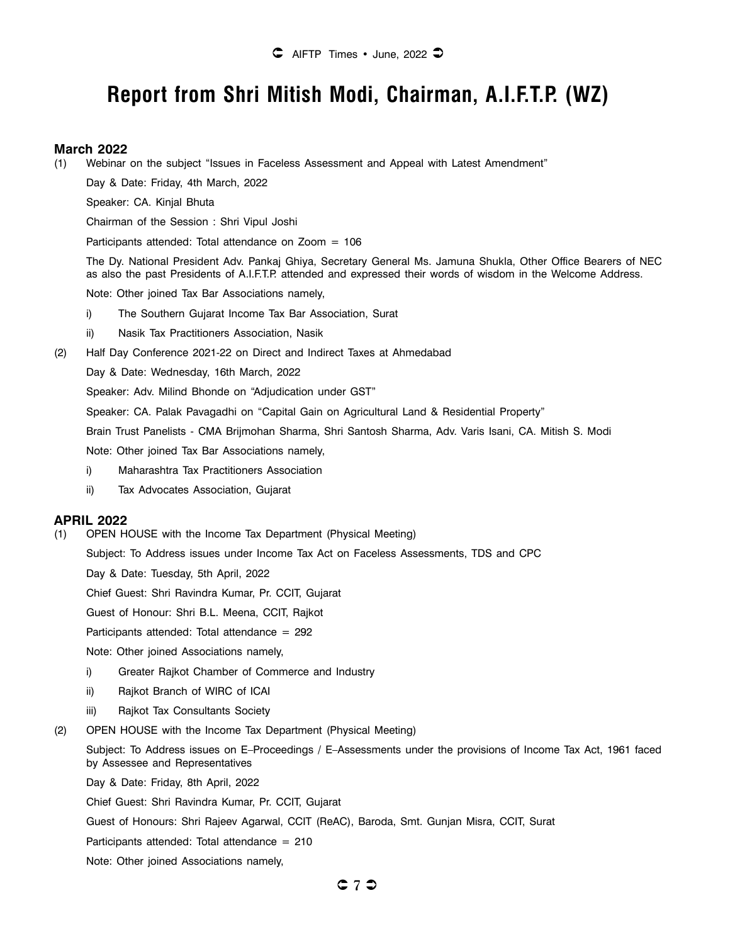# **Report from Shri Mitish Modi, Chairman, A.I.F.T.P. (WZ)**

#### **March 2022**

(1) Webinar on the subject "Issues in Faceless Assessment and Appeal with Latest Amendment"

Day & Date: Friday, 4th March, 2022

Speaker: CA. Kinjal Bhuta

Chairman of the Session : Shri Vipul Joshi

Participants attended: Total attendance on Zoom = 106

The Dy. National President Adv. Pankaj Ghiya, Secretary General Ms. Jamuna Shukla, Other Office Bearers of NEC as also the past Presidents of A.I.F.T.P. attended and expressed their words of wisdom in the Welcome Address.

Note: Other joined Tax Bar Associations namely,

- i) The Southern Gujarat Income Tax Bar Association, Surat
- ii) Nasik Tax Practitioners Association, Nasik
- (2) Half Day Conference 2021-22 on Direct and Indirect Taxes at Ahmedabad

Day & Date: Wednesday, 16th March, 2022

Speaker: Adv. Milind Bhonde on "Adjudication under GST"

Speaker: CA. Palak Pavagadhi on "Capital Gain on Agricultural Land & Residential Property"

Brain Trust Panelists - CMA Brijmohan Sharma, Shri Santosh Sharma, Adv. Varis Isani, CA. Mitish S. Modi

Note: Other joined Tax Bar Associations namely,

- i) Maharashtra Tax Practitioners Association
- ii) Tax Advocates Association, Gujarat

#### **APRIL 2022**

(1) OPEN HOUSE with the Income Tax Department (Physical Meeting)

Subject: To Address issues under Income Tax Act on Faceless Assessments, TDS and CPC

Day & Date: Tuesday, 5th April, 2022

Chief Guest: Shri Ravindra Kumar, Pr. CCIT, Gujarat

Guest of Honour: Shri B.L. Meena, CCIT, Rajkot

Participants attended: Total attendance  $= 292$ 

Note: Other joined Associations namely,

- i) Greater Rajkot Chamber of Commerce and Industry
- ii) Rajkot Branch of WIRC of ICAI
- iii) Rajkot Tax Consultants Society
- (2) OPEN HOUSE with the Income Tax Department (Physical Meeting)

Subject: To Address issues on E–Proceedings / E–Assessments under the provisions of Income Tax Act, 1961 faced by Assessee and Representatives

Day & Date: Friday, 8th April, 2022

Chief Guest: Shri Ravindra Kumar, Pr. CCIT, Gujarat

Guest of Honours: Shri Rajeev Agarwal, CCIT (ReAC), Baroda, Smt. Gunjan Misra, CCIT, Surat

Participants attended: Total attendance  $= 210$ 

Note: Other joined Associations namely,

Û **7** Ü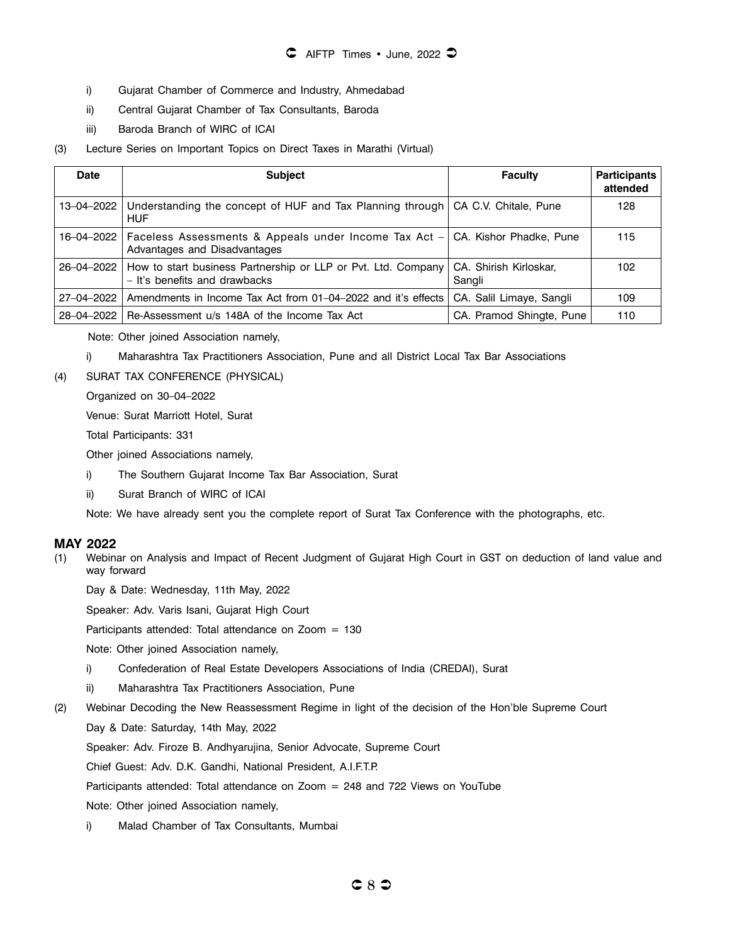- i) Gujarat Chamber of Commerce and Industry, Ahmedabad
- ii) Central Gujarat Chamber of Tax Consultants, Baroda
- iii) Baroda Branch of WIRC of ICAI
- (3) Lecture Series on Important Topics on Direct Taxes in Marathi (Virtual)

| <b>Date</b> | <b>Subject</b>                                                                                                             | <b>Faculty</b>                   | <b>Participants</b><br>attended |
|-------------|----------------------------------------------------------------------------------------------------------------------------|----------------------------------|---------------------------------|
| 13-04-2022  | Understanding the concept of HUF and Tax Planning through CA C.V. Chitale, Pune<br><b>HUF</b>                              |                                  | 128                             |
|             | 16-04-2022   Faceless Assessments & Appeals under Income Tax Act - CA. Kishor Phadke, Pune<br>Advantages and Disadvantages |                                  | 115                             |
|             | 26–04–2022 How to start business Partnership or LLP or Pvt. Ltd. Company<br>- It's benefits and drawbacks                  | CA. Shirish Kirloskar,<br>Sangli | 102                             |
| 27-04-2022  | Amendments in Income Tax Act from 01-04-2022 and it's effects                                                              | CA. Salil Limaye, Sangli         | 109                             |
| 28-04-2022  | Re-Assessment u/s 148A of the Income Tax Act                                                                               | CA. Pramod Shingte, Pune         | 110                             |

Note: Other joined Association namely,

- i) Maharashtra Tax Practitioners Association, Pune and all District Local Tax Bar Associations
- (4) SURAT TAX CONFERENCE (PHYSICAL)

Organized on 30–04–2022

Venue: Surat Marriott Hotel, Surat

Total Participants: 331

Other joined Associations namely,

- i) The Southern Gujarat Income Tax Bar Association, Surat
- ii) Surat Branch of WIRC of ICAI

Note: We have already sent you the complete report of Surat Tax Conference with the photographs, etc.

#### **MAY 2022**

(1) Webinar on Analysis and Impact of Recent Judgment of Gujarat High Court in GST on deduction of land value and way forward

Day & Date: Wednesday, 11th May, 2022

Speaker: Adv. Varis Isani, Gujarat High Court

Participants attended: Total attendance on Zoom = 130

Note: Other joined Association namely,

- i) Confederation of Real Estate Developers Associations of India (CREDAI), Surat
- ii) Maharashtra Tax Practitioners Association, Pune
- (2) Webinar Decoding the New Reassessment Regime in light of the decision of the Hon'ble Supreme Court

Day & Date: Saturday, 14th May, 2022

Speaker: Adv. Firoze B. Andhyarujina, Senior Advocate, Supreme Court

Chief Guest: Adv. D.K. Gandhi, National President, A.I.F.T.P.

Participants attended: Total attendance on Zoom = 248 and 722 Views on YouTube

Note: Other joined Association namely,

i) Malad Chamber of Tax Consultants, Mumbai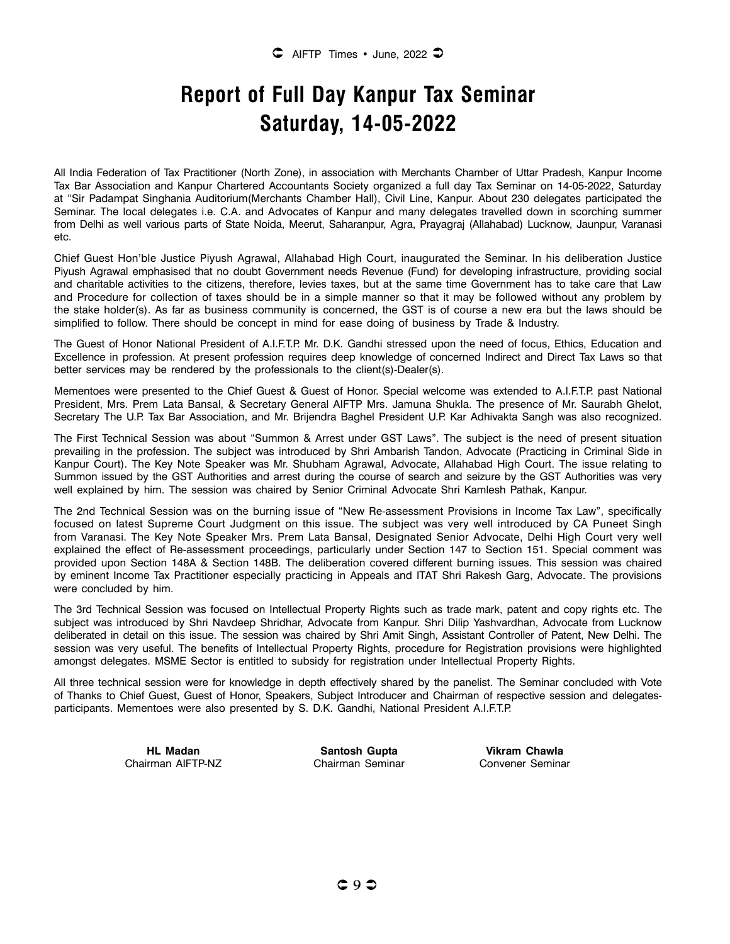# **Report of Full Day Kanpur Tax Seminar Saturday, 14-05-2022**

All India Federation of Tax Practitioner (North Zone), in association with Merchants Chamber of Uttar Pradesh, Kanpur Income Tax Bar Association and Kanpur Chartered Accountants Society organized a full day Tax Seminar on 14-05-2022, Saturday at "Sir Padampat Singhania Auditorium(Merchants Chamber Hall), Civil Line, Kanpur. About 230 delegates participated the Seminar. The local delegates i.e. C.A. and Advocates of Kanpur and many delegates travelled down in scorching summer from Delhi as well various parts of State Noida, Meerut, Saharanpur, Agra, Prayagraj (Allahabad) Lucknow, Jaunpur, Varanasi etc.

Chief Guest Hon'ble Justice Piyush Agrawal, Allahabad High Court, inaugurated the Seminar. In his deliberation Justice Piyush Agrawal emphasised that no doubt Government needs Revenue (Fund) for developing infrastructure, providing social and charitable activities to the citizens, therefore, levies taxes, but at the same time Government has to take care that Law and Procedure for collection of taxes should be in a simple manner so that it may be followed without any problem by the stake holder(s). As far as business community is concerned, the GST is of course a new era but the laws should be simplified to follow. There should be concept in mind for ease doing of business by Trade & Industry.

The Guest of Honor National President of A.I.F.T.P. Mr. D.K. Gandhi stressed upon the need of focus, Ethics, Education and Excellence in profession. At present profession requires deep knowledge of concerned Indirect and Direct Tax Laws so that better services may be rendered by the professionals to the client(s)-Dealer(s).

Mementoes were presented to the Chief Guest & Guest of Honor. Special welcome was extended to A.I.F.T.P. past National President, Mrs. Prem Lata Bansal, & Secretary General AIFTP Mrs. Jamuna Shukla. The presence of Mr. Saurabh Ghelot, Secretary The U.P. Tax Bar Association, and Mr. Brijendra Baghel President U.P. Kar Adhivakta Sangh was also recognized.

The First Technical Session was about "Summon & Arrest under GST Laws". The subject is the need of present situation prevailing in the profession. The subject was introduced by Shri Ambarish Tandon, Advocate (Practicing in Criminal Side in Kanpur Court). The Key Note Speaker was Mr. Shubham Agrawal, Advocate, Allahabad High Court. The issue relating to Summon issued by the GST Authorities and arrest during the course of search and seizure by the GST Authorities was very well explained by him. The session was chaired by Senior Criminal Advocate Shri Kamlesh Pathak, Kanpur.

The 2nd Technical Session was on the burning issue of "New Re-assessment Provisions in Income Tax Law", specifically focused on latest Supreme Court Judgment on this issue. The subject was very well introduced by CA Puneet Singh from Varanasi. The Key Note Speaker Mrs. Prem Lata Bansal, Designated Senior Advocate, Delhi High Court very well explained the effect of Re-assessment proceedings, particularly under Section 147 to Section 151. Special comment was provided upon Section 148A & Section 148B. The deliberation covered different burning issues. This session was chaired by eminent Income Tax Practitioner especially practicing in Appeals and ITAT Shri Rakesh Garg, Advocate. The provisions were concluded by him.

The 3rd Technical Session was focused on Intellectual Property Rights such as trade mark, patent and copy rights etc. The subject was introduced by Shri Navdeep Shridhar, Advocate from Kanpur. Shri Dilip Yashvardhan, Advocate from Lucknow deliberated in detail on this issue. The session was chaired by Shri Amit Singh, Assistant Controller of Patent, New Delhi. The session was very useful. The benefits of Intellectual Property Rights, procedure for Registration provisions were highlighted amongst delegates. MSME Sector is entitled to subsidy for registration under Intellectual Property Rights.

All three technical session were for knowledge in depth effectively shared by the panelist. The Seminar concluded with Vote of Thanks to Chief Guest, Guest of Honor, Speakers, Subject Introducer and Chairman of respective session and delegatesparticipants. Mementoes were also presented by S. D.K. Gandhi, National President A.I.F.T.P.

Chairman AIFTP-NZ Chairman Seminar Convener Seminar

**HL Madan Santosh Gupta Vikram Chawla**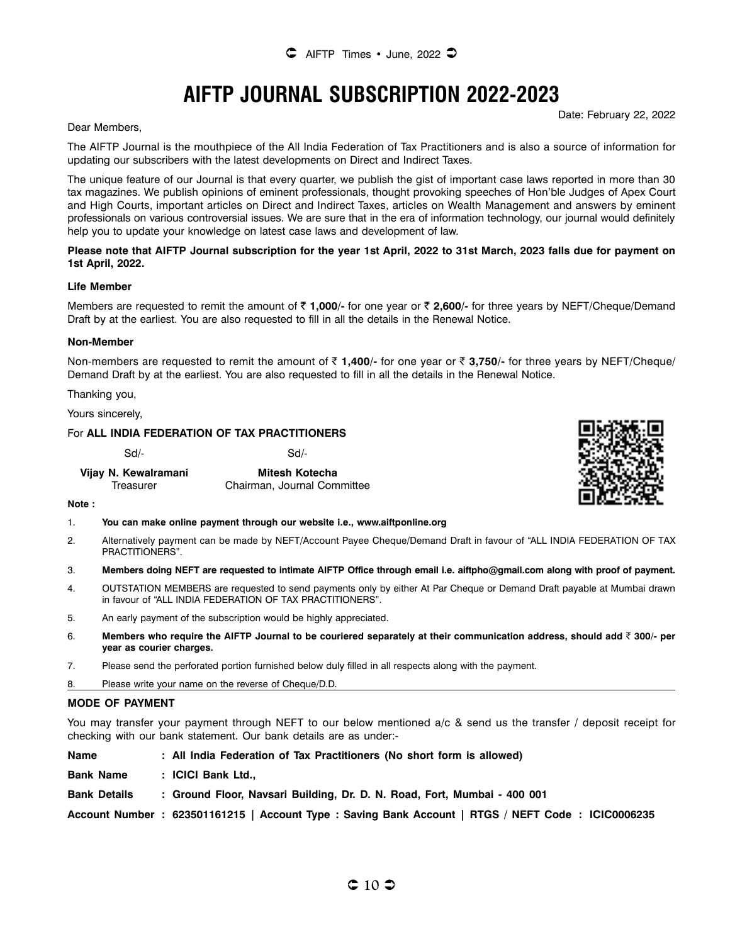# **AIFTP JOURNAL SUBSCRIPTION 2022-2023**

Date: February 22, 2022

Dear Members,

The AIFTP Journal is the mouthpiece of the All India Federation of Tax Practitioners and is also a source of information for updating our subscribers with the latest developments on Direct and Indirect Taxes.

The unique feature of our Journal is that every quarter, we publish the gist of important case laws reported in more than 30 tax magazines. We publish opinions of eminent professionals, thought provoking speeches of Hon'ble Judges of Apex Court and High Courts, important articles on Direct and Indirect Taxes, articles on Wealth Management and answers by eminent professionals on various controversial issues. We are sure that in the era of information technology, our journal would definitely help you to update your knowledge on latest case laws and development of law.

#### **Please note that AIFTP Journal subscription for the year 1st April, 2022 to 31st March, 2023 falls due for payment on 1st April, 2022.**

#### **Life Member**

Members are requested to remit the amount of ₹1,000/- for one year or ₹2,600/- for three years by NEFT/Cheque/Demand Draft by at the earliest. You are also requested to fill in all the details in the Renewal Notice.

#### **Non-Member**

Non-members are requested to remit the amount of ₹1,400/- for one year or ₹3,750/- for three years by NEFT/Cheque/ Demand Draft by at the earliest. You are also requested to fill in all the details in the Renewal Notice.

Thanking you,

Yours sincerely,

#### For **ALL INDIA FEDERATION OF TAX PRACTITIONERS**

Sd/- Sd/-

| Vijay N. Kewalramani | Mitesh Kotecha              |
|----------------------|-----------------------------|
| Treasurer            | Chairman, Journal Committee |



**Note :**

#### 1. **You can make online payment through our website i.e., www.aiftponline.org**

- 2. Alternatively payment can be made by NEFT/Account Payee Cheque/Demand Draft in favour of "ALL INDIA FEDERATION OF TAX PRACTITIONERS".
- 3. **Members doing NEFT are requested to intimate AIFTP Office through email i.e. aiftpho@gmail.com along with proof of payment.**
- 4. OUTSTATION MEMBERS are requested to send payments only by either At Par Cheque or Demand Draft payable at Mumbai drawn in favour of "ALL INDIA FEDERATION OF TAX PRACTITIONERS".
- 5. An early payment of the subscription would be highly appreciated.
- 6. **Members who require the AIFTP Journal to be couriered separately at their communication address, should add** ` **300/- per year as courier charges.**
- 7. Please send the perforated portion furnished below duly filled in all respects along with the payment.

8. Please write your name on the reverse of Cheque/D.D.

#### **MODE OF PAYMENT**

You may transfer your payment through NEFT to our below mentioned a/c & send us the transfer / deposit receipt for checking with our bank statement. Our bank details are as under:-

| <b>Name</b>         | : All India Federation of Tax Practitioners (No short form is allowed)                              |
|---------------------|-----------------------------------------------------------------------------------------------------|
| <b>Bank Name</b>    | : ICICI Bank Ltd.,                                                                                  |
| <b>Bank Details</b> | : Ground Floor, Navsari Building, Dr. D. N. Road, Fort, Mumbai - 400 001                            |
|                     | Account Number : 623501161215   Account Type : Saving Bank Account   RTGS / NEFT Code : ICIC0006235 |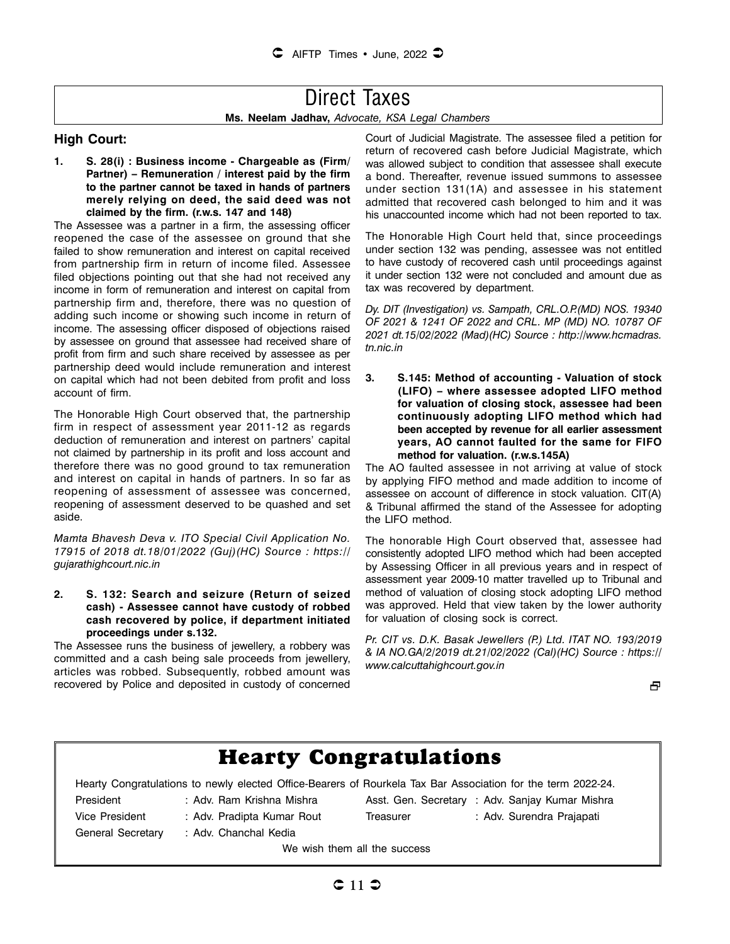# Direct Taxes

**Ms. Neelam Jadhav,** *Advocate, KSA Legal Chambers*

#### **High Court:**

**1. S. 28(i) : Business income - Chargeable as (Firm/ Partner) – Remuneration / interest paid by the firm to the partner cannot be taxed in hands of partners merely relying on deed, the said deed was not claimed by the firm. (r.w.s. 147 and 148)** 

The Assessee was a partner in a firm, the assessing officer reopened the case of the assessee on ground that she failed to show remuneration and interest on capital received from partnership firm in return of income filed. Assessee filed objections pointing out that she had not received any income in form of remuneration and interest on capital from partnership firm and, therefore, there was no question of adding such income or showing such income in return of income. The assessing officer disposed of objections raised by assessee on ground that assessee had received share of profit from firm and such share received by assessee as per partnership deed would include remuneration and interest on capital which had not been debited from profit and loss account of firm.

The Honorable High Court observed that, the partnership firm in respect of assessment year 2011-12 as regards deduction of remuneration and interest on partners' capital not claimed by partnership in its profit and loss account and therefore there was no good ground to tax remuneration and interest on capital in hands of partners. In so far as reopening of assessment of assessee was concerned, reopening of assessment deserved to be quashed and set aside.

*Mamta Bhavesh Deva v. ITO Special Civil Application No. 17915 of 2018 dt.18/01/2022 (Guj)(HC) Source : https:// gujarathighcourt.nic.in*

#### **2. S. 132: Search and seizure (Return of seized cash) - Assessee cannot have custody of robbed cash recovered by police, if department initiated proceedings under s.132.**

The Assessee runs the business of jewellery, a robbery was committed and a cash being sale proceeds from jewellery, articles was robbed. Subsequently, robbed amount was recovered by Police and deposited in custody of concerned Court of Judicial Magistrate. The assessee filed a petition for return of recovered cash before Judicial Magistrate, which was allowed subject to condition that assessee shall execute a bond. Thereafter, revenue issued summons to assessee under section 131(1A) and assessee in his statement admitted that recovered cash belonged to him and it was his unaccounted income which had not been reported to tax.

The Honorable High Court held that, since proceedings under section 132 was pending, assessee was not entitled to have custody of recovered cash until proceedings against it under section 132 were not concluded and amount due as tax was recovered by department.

*Dy. DIT (Investigation) vs. Sampath, CRL.O.P.(MD) NOS. 19340 OF 2021 & 1241 OF 2022 and CRL. MP (MD) NO. 10787 OF 2021 dt.15/02/2022 (Mad)(HC) Source : http://www.hcmadras. tn.nic.in*

**3. S.145: Method of accounting - Valuation of stock (LIFO) – where assessee adopted LIFO method for valuation of closing stock, assessee had been continuously adopting LIFO method which had been accepted by revenue for all earlier assessment years, AO cannot faulted for the same for FIFO method for valuation. (r.w.s.145A)** 

The AO faulted assessee in not arriving at value of stock by applying FIFO method and made addition to income of assessee on account of difference in stock valuation. CIT(A) & Tribunal affirmed the stand of the Assessee for adopting the LIFO method.

The honorable High Court observed that, assessee had consistently adopted LIFO method which had been accepted by Assessing Officer in all previous years and in respect of assessment year 2009-10 matter travelled up to Tribunal and method of valuation of closing stock adopting LIFO method was approved. Held that view taken by the lower authority for valuation of closing sock is correct.

*Pr. CIT vs. D.K. Basak Jewellers (P.) Ltd. ITAT NO. 193/2019 & IA NO.GA/2/2019 dt.21/02/2022 (Cal)(HC) Source : https:// www.calcuttahighcourt.gov.in*

æ.

| <b>Hearty Congratulations</b>                                                                                |                            |           |                                                 |  |  |  |
|--------------------------------------------------------------------------------------------------------------|----------------------------|-----------|-------------------------------------------------|--|--|--|
| Hearty Congratulations to newly elected Office-Bearers of Rourkela Tax Bar Association for the term 2022-24. |                            |           |                                                 |  |  |  |
| President                                                                                                    | : Adv. Ram Krishna Mishra  |           | Asst. Gen. Secretary : Adv. Sanjay Kumar Mishra |  |  |  |
| Vice President                                                                                               | : Adv. Pradipta Kumar Rout | Treasurer | : Adv. Surendra Prajapati                       |  |  |  |
| General Secretary                                                                                            | : Adv. Chanchal Kedia      |           |                                                 |  |  |  |
| We wish them all the success                                                                                 |                            |           |                                                 |  |  |  |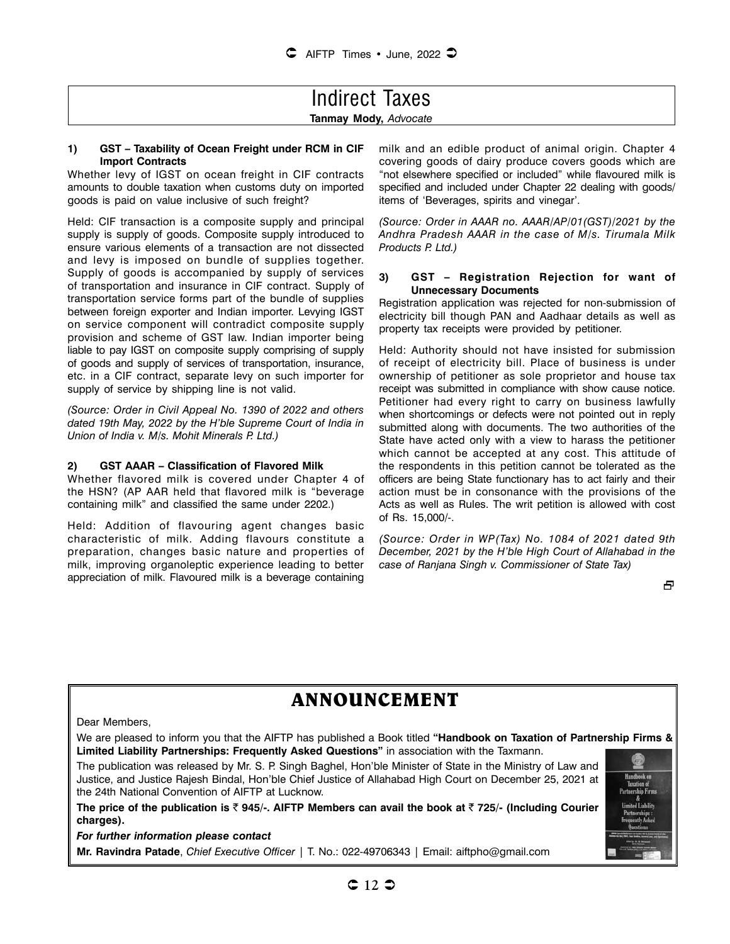### Indirect Taxes **Tanmay Mody,** *Advocate*

#### **1) GST – Taxability of Ocean Freight under RCM in CIF Import Contracts**

Whether levy of IGST on ocean freight in CIF contracts amounts to double taxation when customs duty on imported goods is paid on value inclusive of such freight?

Held: CIF transaction is a composite supply and principal supply is supply of goods. Composite supply introduced to ensure various elements of a transaction are not dissected and levy is imposed on bundle of supplies together. Supply of goods is accompanied by supply of services of transportation and insurance in CIF contract. Supply of transportation service forms part of the bundle of supplies between foreign exporter and Indian importer. Levying IGST on service component will contradict composite supply provision and scheme of GST law. Indian importer being liable to pay IGST on composite supply comprising of supply of goods and supply of services of transportation, insurance, etc. in a CIF contract, separate levy on such importer for supply of service by shipping line is not valid.

*(Source: Order in Civil Appeal No. 1390 of 2022 and others dated 19th May, 2022 by the H'ble Supreme Court of India in Union of India v. M/s. Mohit Minerals P. Ltd.)*

#### **2) GST AAAR – Classification of Flavored Milk**

Whether flavored milk is covered under Chapter 4 of the HSN? (AP AAR held that flavored milk is "beverage containing milk" and classified the same under 2202.)

Held: Addition of flavouring agent changes basic characteristic of milk. Adding flavours constitute a preparation, changes basic nature and properties of milk, improving organoleptic experience leading to better appreciation of milk. Flavoured milk is a beverage containing milk and an edible product of animal origin. Chapter 4 covering goods of dairy produce covers goods which are "not elsewhere specified or included" while flavoured milk is specified and included under Chapter 22 dealing with goods/ items of 'Beverages, spirits and vinegar'.

*(Source: Order in AAAR no. AAAR/AP/01(GST)/2021 by the Andhra Pradesh AAAR in the case of M/s. Tirumala Milk Products P. Ltd.)*

#### **3) GST – Registration Rejection for want of Unnecessary Documents**

Registration application was rejected for non-submission of electricity bill though PAN and Aadhaar details as well as property tax receipts were provided by petitioner.

Held: Authority should not have insisted for submission of receipt of electricity bill. Place of business is under ownership of petitioner as sole proprietor and house tax receipt was submitted in compliance with show cause notice. Petitioner had every right to carry on business lawfully when shortcomings or defects were not pointed out in reply submitted along with documents. The two authorities of the State have acted only with a view to harass the petitioner which cannot be accepted at any cost. This attitude of the respondents in this petition cannot be tolerated as the officers are being State functionary has to act fairly and their action must be in consonance with the provisions of the Acts as well as Rules. The writ petition is allowed with cost of Rs. 15,000/-.

*(Source: Order in WP(Tax) No. 1084 of 2021 dated 9th December, 2021 by the H'ble High Court of Allahabad in the case of Ranjana Singh v. Commissioner of State Tax)*

**Handhank** an

## **ANNOUNCEMENT**

#### Dear Members,

We are pleased to inform you that the AIFTP has published a Book titled **"Handbook on Taxation of Partnership Firms & Limited Liability Partnerships: Frequently Asked Questions"** in association with the Taxmann.

The publication was released by Mr. S. P. Singh Baghel, Hon'ble Minister of State in the Ministry of Law and Justice, and Justice Rajesh Bindal, Hon'ble Chief Justice of Allahabad High Court on December 25, 2021 at the 24th National Convention of AIFTP at Lucknow.

The price of the publication is  $\bar{\zeta}$  945/-. AIFTP Members can avail the book at  $\bar{\zeta}$  725/- (Including Courier **charges).**

#### *For further information please contact*

**Mr. Ravindra Patade**, *Chief Executive Officer |* T. No.: 022-49706343 | Email: aiftpho@gmail.com